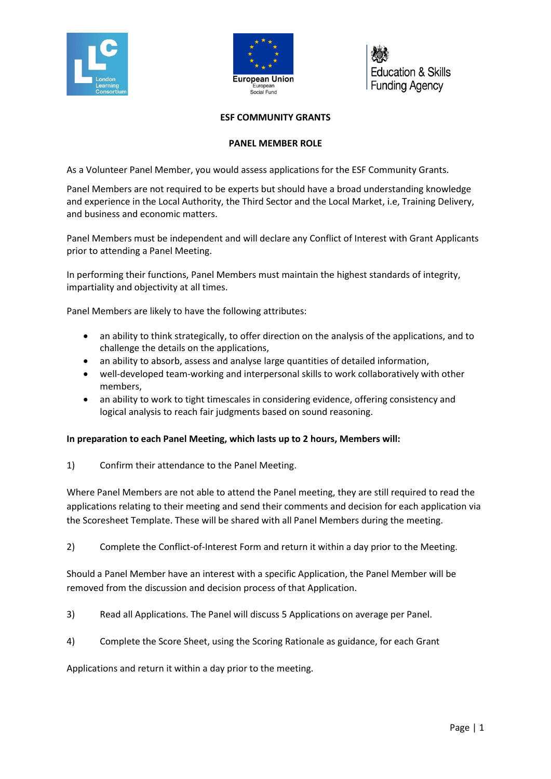



**Education & Skills Funding Agency** 

## **ESF COMMUNITY GRANTS**

## **PANEL MEMBER ROLE**

As a Volunteer Panel Member, you would assess applications for the ESF Community Grants.

Panel Members are not required to be experts but should have a broad understanding knowledge and experience in the Local Authority, the Third Sector and the Local Market, i.e, Training Delivery, and business and economic matters.

Panel Members must be independent and will declare any Conflict of Interest with Grant Applicants prior to attending a Panel Meeting.

In performing their functions, Panel Members must maintain the highest standards of integrity, impartiality and objectivity at all times.

Panel Members are likely to have the following attributes:

- an ability to think strategically, to offer direction on the analysis of the applications, and to challenge the details on the applications,
- an ability to absorb, assess and analyse large quantities of detailed information,
- well-developed team-working and interpersonal skills to work collaboratively with other members,
- an ability to work to tight timescales in considering evidence, offering consistency and logical analysis to reach fair judgments based on sound reasoning.

## **In preparation to each Panel Meeting, which lasts up to 2 hours, Members will:**

1) Confirm their attendance to the Panel Meeting.

Where Panel Members are not able to attend the Panel meeting, they are still required to read the applications relating to their meeting and send their comments and decision for each application via the Scoresheet Template. These will be shared with all Panel Members during the meeting.

2) Complete the Conflict-of-Interest Form and return it within a day prior to the Meeting.

Should a Panel Member have an interest with a specific Application, the Panel Member will be removed from the discussion and decision process of that Application.

- 3) Read all Applications. The Panel will discuss 5 Applications on average per Panel.
- 4) Complete the Score Sheet, using the Scoring Rationale as guidance, for each Grant

Applications and return it within a day prior to the meeting.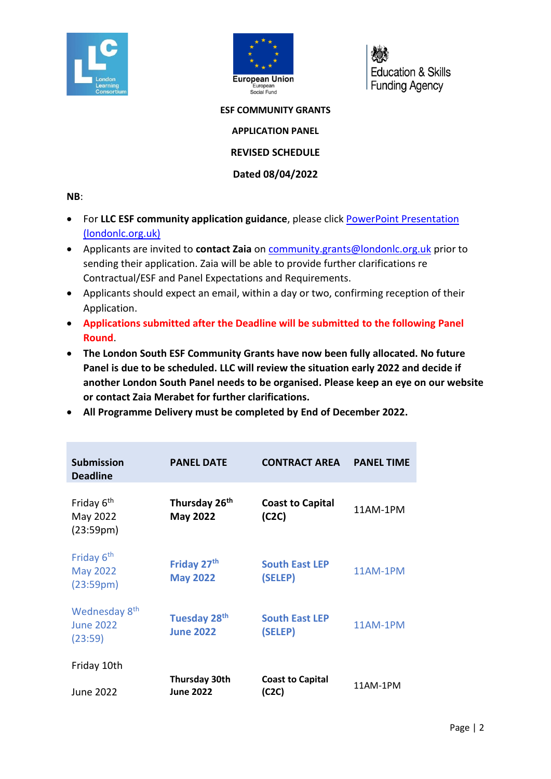



**Education & Skills Funding Agency** 

**ESF COMMUNITY GRANTS**

**APPLICATION PANEL**

**REVISED SCHEDULE**

**Dated 08/04/2022**

## **NB**:

- For **LLC ESF community application guidance**, please click [PowerPoint Presentation](https://www.londonlc.org.uk/wp-content/uploads/LLC-ESF-Community-Grants-Application-Guidance-v3.pdf)  [\(londonlc.org.uk\)](https://www.londonlc.org.uk/wp-content/uploads/LLC-ESF-Community-Grants-Application-Guidance-v3.pdf)
- Applicants are invited to **contact Zaia** on [community.grants@londonlc.org.uk](mailto:community.grants@londonlc.org.uk) prior to sending their application. Zaia will be able to provide further clarifications re Contractual/ESF and Panel Expectations and Requirements.
- Applicants should expect an email, within a day or two, confirming reception of their Application.
- **Applications submitted after the Deadline will be submitted to the following Panel Round**.
- **The London South ESF Community Grants have now been fully allocated. No future Panel is due to be scheduled. LLC will review the situation early 2022 and decide if another London South Panel needs to be organised. Please keep an eye on our website or contact Zaia Merabet for further clarifications.**
- **All Programme Delivery must be completed by End of December 2022.**

| <b>Submission</b><br><b>Deadline</b>                                | <b>PANEL DATE</b>                            | <b>CONTRACT AREA</b>             | <b>PANEL TIME</b> |
|---------------------------------------------------------------------|----------------------------------------------|----------------------------------|-------------------|
| Friday 6 <sup>th</sup><br>May 2022<br>(23:59 <sub>pm</sub> )        | Thursday 26 <sup>th</sup><br><b>May 2022</b> | <b>Coast to Capital</b><br>(C2C) | 11AM-1PM          |
| Friday 6 <sup>th</sup><br><b>May 2022</b><br>(23:59 <sub>pm</sub> ) | Friday 27 <sup>th</sup><br><b>May 2022</b>   | <b>South East LEP</b><br>(SELEP) | 11AM-1PM          |
| Wednesday 8 <sup>th</sup><br><b>June 2022</b><br>(23:59)            | <b>Tuesday 28th</b><br><b>June 2022</b>      | <b>South East LEP</b><br>(SELEP) | <b>11AM-1PM</b>   |
| Friday 10th                                                         | <b>Thursday 30th</b>                         | <b>Coast to Capital</b>          |                   |
| June 2022                                                           | <b>June 2022</b>                             | (C2C)                            | 11AM-1PM          |